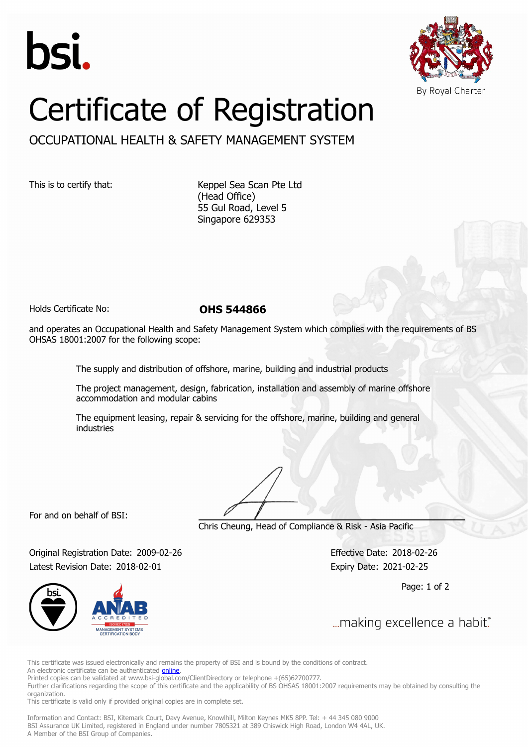



## Certificate of Registration

OCCUPATIONAL HEALTH & SAFETY MANAGEMENT SYSTEM

This is to certify that: Keppel Sea Scan Pte Ltd (Head Office) 55 Gul Road, Level 5 Singapore 629353

Holds Certificate No: **OHS 544866**

and operates an Occupational Health and Safety Management System which complies with the requirements of BS OHSAS 18001:2007 for the following scope:

The supply and distribution of offshore, marine, building and industrial products

The project management, design, fabrication, installation and assembly of marine offshore accommodation and modular cabins

The equipment leasing, repair & servicing for the offshore, marine, building and general industries

For and on behalf of BSI:

Chris Cheung, Head of Compliance & Risk - Asia Pacific

Original Registration Date: 2009-02-26 Effective Date: 2018-02-26 Latest Revision Date: 2018-02-01 Expiry Date: 2021-02-25

Page: 1 of 2



... making excellence a habit."

This certificate was issued electronically and remains the property of BSI and is bound by the conditions of contract.

An electronic certificate can be authenticated **[online](https://pgplus.bsigroup.com/CertificateValidation/CertificateValidator.aspx?CertificateNumber=OHS+544866&ReIssueDate=01%2f02%2f2018&Template=sing_en)**.

Printed copies can be validated at www.bsi-global.com/ClientDirectory or telephone +(65)62700777.

Further clarifications regarding the scope of this certificate and the applicability of BS OHSAS 18001:2007 requirements may be obtained by consulting the organization.

This certificate is valid only if provided original copies are in complete set.

Information and Contact: BSI, Kitemark Court, Davy Avenue, Knowlhill, Milton Keynes MK5 8PP. Tel: + 44 345 080 9000 BSI Assurance UK Limited, registered in England under number 7805321 at 389 Chiswick High Road, London W4 4AL, UK. A Member of the BSI Group of Companies.